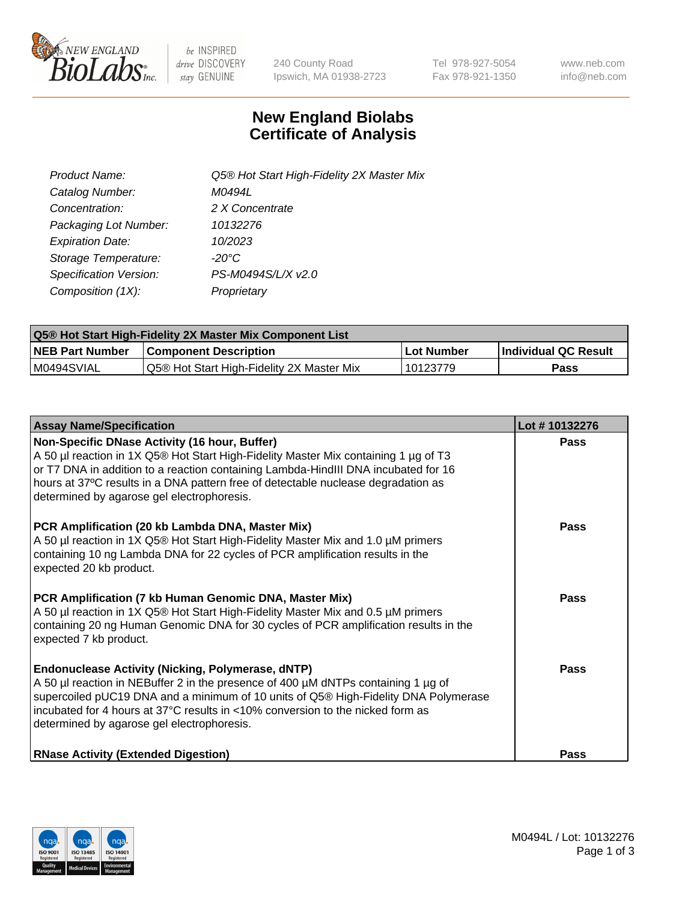

 $be$  INSPIRED drive DISCOVERY stay GENUINE

240 County Road Ipswich, MA 01938-2723 Tel 978-927-5054 Fax 978-921-1350 www.neb.com info@neb.com

## **New England Biolabs Certificate of Analysis**

| Product Name:                 | Q5® Hot Start High-Fidelity 2X Master Mix |
|-------------------------------|-------------------------------------------|
| Catalog Number:               | M0494L                                    |
| Concentration:                | 2 X Concentrate                           |
| Packaging Lot Number:         | 10132276                                  |
| <b>Expiration Date:</b>       | 10/2023                                   |
| Storage Temperature:          | -20°C                                     |
| <b>Specification Version:</b> | PS-M0494S/L/X v2.0                        |
| Composition (1X):             | Proprietary                               |

| Q5® Hot Start High-Fidelity 2X Master Mix Component List |                                           |             |                      |  |  |
|----------------------------------------------------------|-------------------------------------------|-------------|----------------------|--|--|
| <b>NEB Part Number</b>                                   | <b>Component Description</b>              | ∣Lot Number | Individual QC Result |  |  |
| M0494SVIAL                                               | Q5® Hot Start High-Fidelity 2X Master Mix | 10123779    | Pass                 |  |  |

| <b>Assay Name/Specification</b>                                                                                                                                                                                                                                                                                                                                      | Lot #10132276 |
|----------------------------------------------------------------------------------------------------------------------------------------------------------------------------------------------------------------------------------------------------------------------------------------------------------------------------------------------------------------------|---------------|
| Non-Specific DNase Activity (16 hour, Buffer)<br>A 50 µl reaction in 1X Q5® Hot Start High-Fidelity Master Mix containing 1 µg of T3<br>or T7 DNA in addition to a reaction containing Lambda-HindIII DNA incubated for 16<br>hours at 37°C results in a DNA pattern free of detectable nuclease degradation as<br>determined by agarose gel electrophoresis.        | Pass          |
| PCR Amplification (20 kb Lambda DNA, Master Mix)<br>A 50 µl reaction in 1X Q5® Hot Start High-Fidelity Master Mix and 1.0 µM primers<br>containing 10 ng Lambda DNA for 22 cycles of PCR amplification results in the<br>expected 20 kb product.                                                                                                                     | Pass          |
| PCR Amplification (7 kb Human Genomic DNA, Master Mix)<br>A 50 µl reaction in 1X Q5® Hot Start High-Fidelity Master Mix and 0.5 µM primers<br>containing 20 ng Human Genomic DNA for 30 cycles of PCR amplification results in the<br>expected 7 kb product.                                                                                                         | <b>Pass</b>   |
| <b>Endonuclease Activity (Nicking, Polymerase, dNTP)</b><br>A 50 µl reaction in NEBuffer 2 in the presence of 400 µM dNTPs containing 1 µg of<br>supercoiled pUC19 DNA and a minimum of 10 units of Q5® High-Fidelity DNA Polymerase<br>incubated for 4 hours at 37°C results in <10% conversion to the nicked form as<br>determined by agarose gel electrophoresis. | Pass          |
| <b>RNase Activity (Extended Digestion)</b>                                                                                                                                                                                                                                                                                                                           | Pass          |

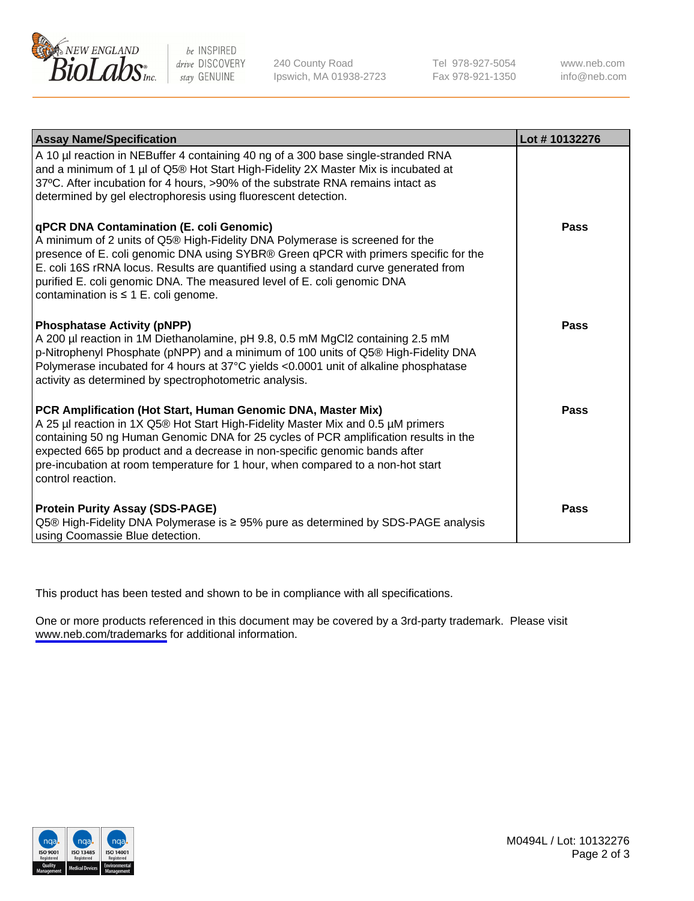

be INSPIRED drive DISCOVERY stay GENUINE

240 County Road Ipswich, MA 01938-2723 Tel 978-927-5054 Fax 978-921-1350

www.neb.com info@neb.com

| <b>Assay Name/Specification</b>                                                                                                                                                                                                                                                                                                                                                                                                         | Lot #10132276 |
|-----------------------------------------------------------------------------------------------------------------------------------------------------------------------------------------------------------------------------------------------------------------------------------------------------------------------------------------------------------------------------------------------------------------------------------------|---------------|
| A 10 µl reaction in NEBuffer 4 containing 40 ng of a 300 base single-stranded RNA<br>and a minimum of 1 µl of Q5® Hot Start High-Fidelity 2X Master Mix is incubated at<br>37°C. After incubation for 4 hours, >90% of the substrate RNA remains intact as<br>determined by gel electrophoresis using fluorescent detection.                                                                                                            |               |
| <b>qPCR DNA Contamination (E. coli Genomic)</b><br>A minimum of 2 units of Q5® High-Fidelity DNA Polymerase is screened for the<br>presence of E. coli genomic DNA using SYBR® Green qPCR with primers specific for the<br>E. coli 16S rRNA locus. Results are quantified using a standard curve generated from<br>purified E. coli genomic DNA. The measured level of E. coli genomic DNA<br>contamination is $\leq 1$ E. coli genome. | Pass          |
| <b>Phosphatase Activity (pNPP)</b><br>A 200 µl reaction in 1M Diethanolamine, pH 9.8, 0.5 mM MgCl2 containing 2.5 mM<br>p-Nitrophenyl Phosphate (pNPP) and a minimum of 100 units of Q5® High-Fidelity DNA<br>Polymerase incubated for 4 hours at 37°C yields <0.0001 unit of alkaline phosphatase<br>activity as determined by spectrophotometric analysis.                                                                            | Pass          |
| PCR Amplification (Hot Start, Human Genomic DNA, Master Mix)<br>A 25 µl reaction in 1X Q5® Hot Start High-Fidelity Master Mix and 0.5 µM primers<br>containing 50 ng Human Genomic DNA for 25 cycles of PCR amplification results in the<br>expected 665 bp product and a decrease in non-specific genomic bands after<br>pre-incubation at room temperature for 1 hour, when compared to a non-hot start<br>control reaction.          | Pass          |
| <b>Protein Purity Assay (SDS-PAGE)</b><br>Q5® High-Fidelity DNA Polymerase is ≥ 95% pure as determined by SDS-PAGE analysis<br>using Coomassie Blue detection.                                                                                                                                                                                                                                                                          | <b>Pass</b>   |

This product has been tested and shown to be in compliance with all specifications.

One or more products referenced in this document may be covered by a 3rd-party trademark. Please visit <www.neb.com/trademarks>for additional information.